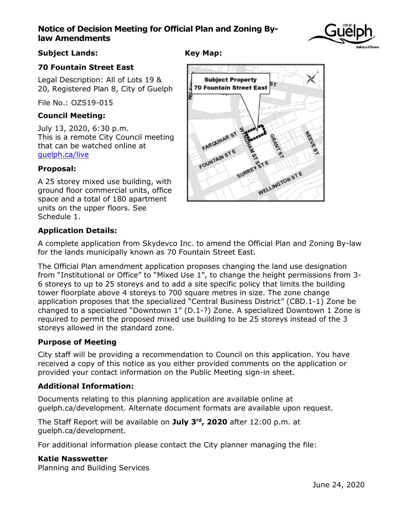# **Notice of Decision Meeting for Official Plan and Zoning Bylaw Amendments**



## **Subject Lands:**

# **Key Map:**

## **70 Fountain Street East**

Legal Description: All of Lots 19 & 20, Registered Plan 8, City of Guelph

File No.: OZS19-015

## **Council Meeting:**

July 13, 2020, 6:30 p.m. This is a remote City Council meeting that can be watched online at [guelph.ca/live](http://guelph.ca/live)

# **Proposal:**

A 25 storey mixed use building, with ground floor commercial units, office space and a total of 180 apartment units on the upper floors. See Schedule 1.



# **Application Details:**

A complete application from Skydevco Inc. to amend the Official Plan and Zoning By-law for the lands municipally known as 70 Fountain Street East.

The Official Plan amendment application proposes changing the land use designation from "Institutional or Office" to "Mixed Use 1", to change the height permissions from 3- 6 storeys to up to 25 storeys and to add a site specific policy that limits the building tower floorplate above 4 storeys to 700 square metres in size. The zone change application proposes that the specialized "Central Business District" (CBD.1-1) Zone be changed to a specialized "Downtown 1" (D.1-?) Zone. A specialized Downtown 1 Zone is required to permit the proposed mixed use building to be 25 storeys instead of the 3 storeys allowed in the standard zone.

## **Purpose of Meeting**

City staff will be providing a recommendation to Council on this application. You have received a copy of this notice as you either provided comments on the application or provided your contact information on the Public Meeting sign-in sheet.

## **Additional Information:**

Documents relating to this planning application are available online at guelph.ca/development. Alternate document formats are available upon request.

The Staff Report will be available on **July 3rd, 2020** after 12:00 p.m. at guelph.ca/development.

For additional information please contact the City planner managing the file:

#### **Katie Nasswetter**

Planning and Building Services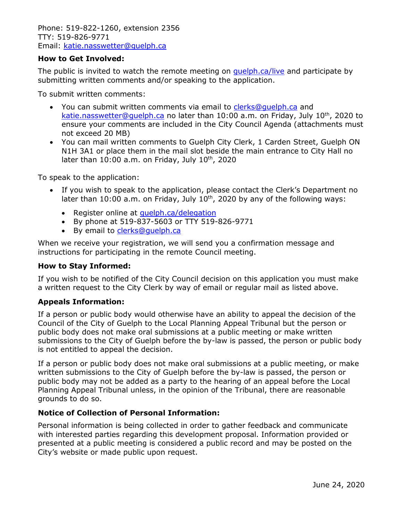Phone: 519-822-1260, extension 2356 TTY: 519-826-9771 Email: [katie.nasswetter@guelph.ca](mailto:katie.nasswetter@guelph.ca)

#### **How to Get Involved:**

The public is invited to watch the remote meeting on [guelph.ca/live](http://guelph.ca/live) and participate by submitting written comments and/or speaking to the application.

To submit written comments:

- You can submit written comments via email to [clerks@guelph.ca](mailto:clerks@guelph.ca) and [katie.nasswetter@guelph.ca](mailto:katie.nasswetter@guelph.ca) no later than 10:00 a.m. on Friday, July 10<sup>th</sup>, 2020 to ensure your comments are included in the City Council Agenda (attachments must not exceed 20 MB)
- You can mail written comments to Guelph City Clerk, 1 Carden Street, Guelph ON N1H 3A1 or place them in the mail slot beside the main entrance to City Hall no later than  $10:00$  a.m. on Friday, July  $10^{th}$ , 2020

To speak to the application:

- If you wish to speak to the application, please contact the Clerk's Department no later than 10:00 a.m. on Friday, July  $10<sup>th</sup>$ , 2020 by any of the following ways:
	- Register online at quelph.ca/delegation
	- By phone at 519-837-5603 or TTY 519-826-9771
	- By email to [clerks@guelph.ca](mailto:clerks@guelph.ca)

When we receive your registration, we will send you a confirmation message and instructions for participating in the remote Council meeting.

#### **How to Stay Informed:**

If you wish to be notified of the City Council decision on this application you must make a written request to the City Clerk by way of email or regular mail as listed above.

#### **Appeals Information:**

If a person or public body would otherwise have an ability to appeal the decision of the Council of the City of Guelph to the Local Planning Appeal Tribunal but the person or public body does not make oral submissions at a public meeting or make written submissions to the City of Guelph before the by-law is passed, the person or public body is not entitled to appeal the decision.

If a person or public body does not make oral submissions at a public meeting, or make written submissions to the City of Guelph before the by-law is passed, the person or public body may not be added as a party to the hearing of an appeal before the Local Planning Appeal Tribunal unless, in the opinion of the Tribunal, there are reasonable grounds to do so.

## **Notice of Collection of Personal Information:**

Personal information is being collected in order to gather feedback and communicate with interested parties regarding this development proposal. Information provided or presented at a public meeting is considered a public record and may be posted on the City's website or made public upon request.